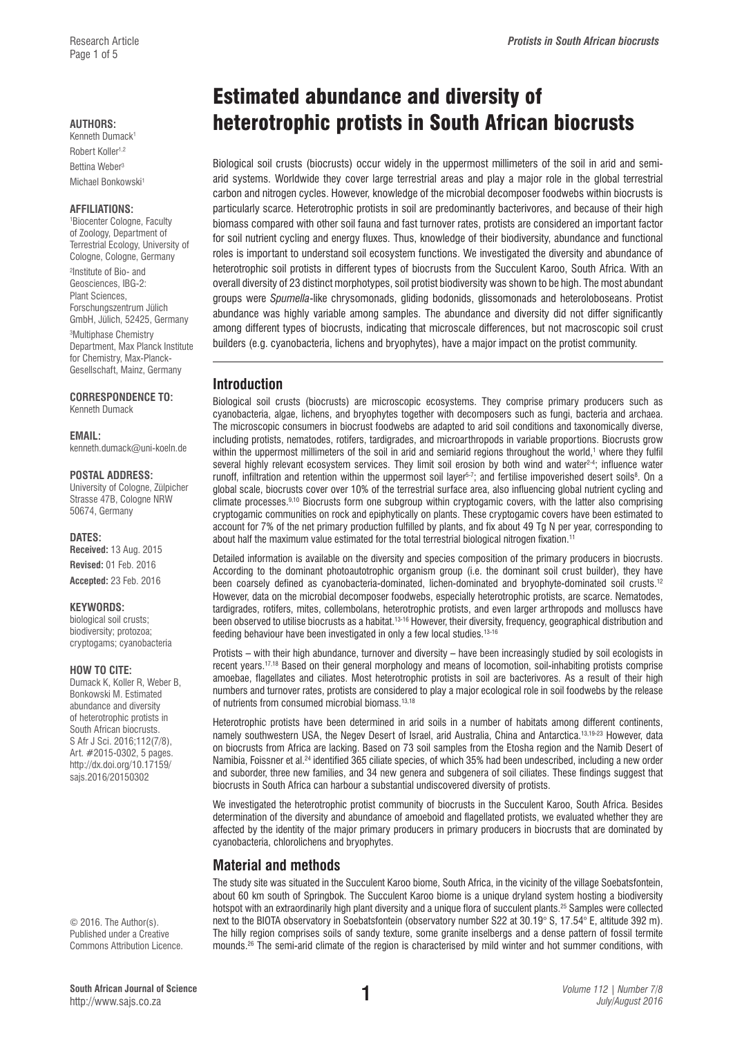Robert Koller<sup>1,2</sup> Bettina Weber3 Michael Bonkowski<sup>1</sup>

## **AFFILIATIONS:**

1 Biocenter Cologne, Faculty of Zoology, Department of Terrestrial Ecology, University of Cologne, Cologne, Germany

2 Institute of Bio- and Geosciences, IBG-2: Plant Sciences, Forschungszentrum Jülich GmbH, Jülich, 52425, Germany

3 Multiphase Chemistry Department, Max Planck Institute for Chemistry, Max-Planck-Gesellschaft, Mainz, Germany

#### **CORRESPONDENCE TO:**  Kenneth Dumack

#### **EMAIL:**

[kenneth.dumack@uni-koeln.de](mailto:kenneth.dumack@uni-koeln.de)

#### **POSTAL ADDRESS:**

University of Cologne, Zülpicher Strasse 47B, Cologne NRW 50674, Germany

#### **DATES:**

**Received:** 13 Aug. 2015 **Revised:** 01 Feb. 2016 **Accepted:** 23 Feb. 2016

#### **KEYWORDS:**

biological soil crusts; biodiversity; protozoa; cryptogams; cyanobacteria

#### **HOW TO CITE:**

Dumack K, Koller R, Weber B, Bonkowski M. Estimated abundance and diversity of heterotrophic protists in South African biocrusts. S Afr J Sci. 2016;112(7/8), Art. #2015-0302, 5 pages. [http://dx.doi.org/10.17159/](http://dx.doi.org/10.17159/sajs.2016/20150302) [sajs.2016/20150302](http://dx.doi.org/10.17159/sajs.2016/20150302)

© 2016. The Author(s). Published under a Creative Commons Attribution Licence.

# Estimated abundance and diversity of AUTHORS:<br>Kenneth Dumack<sup>1</sup>

Biological soil crusts (biocrusts) occur widely in the uppermost millimeters of the soil in arid and semiarid systems. Worldwide they cover large terrestrial areas and play a major role in the global terrestrial carbon and nitrogen cycles. However, knowledge of the microbial decomposer foodwebs within biocrusts is particularly scarce. Heterotrophic protists in soil are predominantly bacterivores, and because of their high biomass compared with other soil fauna and fast turnover rates, protists are considered an important factor for soil nutrient cycling and energy fluxes. Thus, knowledge of their biodiversity, abundance and functional roles is important to understand soil ecosystem functions. We investigated the diversity and abundance of heterotrophic soil protists in different types of biocrusts from the Succulent Karoo, South Africa. With an overall diversity of 23 distinct morphotypes, soil protist biodiversity was shown to be high. The most abundant groups were *Spumella*-like chrysomonads, gliding bodonids, glissomonads and heteroloboseans. Protist abundance was highly variable among samples. The abundance and diversity did not differ significantly among different types of biocrusts, indicating that microscale differences, but not macroscopic soil crust builders (e.g. cyanobacteria, lichens and bryophytes), have a major impact on the protist community.

# **Introduction**

Biological soil crusts (biocrusts) are microscopic ecosystems. They comprise primary producers such as cyanobacteria, algae, lichens, and bryophytes together with decomposers such as fungi, bacteria and archaea. The microscopic consumers in biocrust foodwebs are adapted to arid soil conditions and taxonomically diverse, including protists, nematodes, rotifers, tardigrades, and microarthropods in variable proportions. Biocrusts grow within the uppermost millimeters of the soil in arid and semiarid regions throughout the world,<sup>1</sup> where they fulfil several highly relevant ecosystem services. They limit soil erosion by both wind and water<sup>2-4</sup>; influence water runoff, infiltration and retention within the uppermost soil layer<sup>s-7</sup>; and fertilise impoverished desert soils<sup>8</sup>. On a global scale, biocrusts cover over 10% of the terrestrial surface area, also influencing global nutrient cycling and climate processes.9,10 Biocrusts form one subgroup within cryptogamic covers, with the latter also comprising cryptogamic communities on rock and epiphytically on plants. These cryptogamic covers have been estimated to account for 7% of the net primary production fulfilled by plants, and fix about 49 Tg N per year, corresponding to about half the maximum value estimated for the total terrestrial biological nitrogen fixation.1

Detailed information is available on the diversity and species composition of the primary producers in biocrusts. According to the dominant photoautotrophic organism group (i.e. the dominant soil crust builder), they have been coarsely defined as cyanobacteria-dominated, lichen-dominated and bryophyte-dominated soil crusts.<sup>12</sup> However, data on the microbial decomposer foodwebs, especially heterotrophic protists, are scarce. Nematodes, tardigrades, rotifers, mites, collembolans, heterotrophic protists, and even larger arthropods and molluscs have been observed to utilise biocrusts as a habitat.<sup>13-16</sup> However, their diversity, frequency, geographical distribution and feeding behaviour have been investigated in only a few local studies.13-16

Protists – with their high abundance, turnover and diversity – have been increasingly studied by soil ecologists in recent years.17,18 Based on their general morphology and means of locomotion, soil-inhabiting protists comprise amoebae, flagellates and ciliates. Most heterotrophic protists in soil are bacterivores. As a result of their high numbers and turnover rates, protists are considered to play a major ecological role in soil foodwebs by the release of nutrients from consumed microbial biomass.13,18

Heterotrophic protists have been determined in arid soils in a number of habitats among different continents, namely southwestern USA, the Negev Desert of Israel, arid Australia, China and Antarctica.13,19-23 However, data on biocrusts from Africa are lacking. Based on 73 soil samples from the Etosha region and the Namib Desert of Namibia, Foissner et al.24 identified 365 ciliate species, of which 35% had been undescribed, including a new order and suborder, three new families, and 34 new genera and subgenera of soil ciliates. These findings suggest that biocrusts in South Africa can harbour a substantial undiscovered diversity of protists.

We investigated the heterotrophic protist community of biocrusts in the Succulent Karoo, South Africa. Besides determination of the diversity and abundance of amoeboid and flagellated protists, we evaluated whether they are affected by the identity of the major primary producers in primary producers in biocrusts that are dominated by cyanobacteria, chlorolichens and bryophytes.

# **Material and methods**

The study site was situated in the Succulent Karoo biome, South Africa, in the vicinity of the village Soebatsfontein, about 60 km south of Springbok. The Succulent Karoo biome is a unique dryland system hosting a biodiversity hotspot with an extraordinarily high plant diversity and a unique flora of succulent plants.25 Samples were collected next to the BIOTA observatory in Soebatsfontein (observatory number S22 at 30.19° S, 17.54° E, altitude 392 m). The hilly region comprises soils of sandy texture, some granite inselbergs and a dense pattern of fossil termite mounds.26 The semi-arid climate of the region is characterised by mild winter and hot summer conditions, with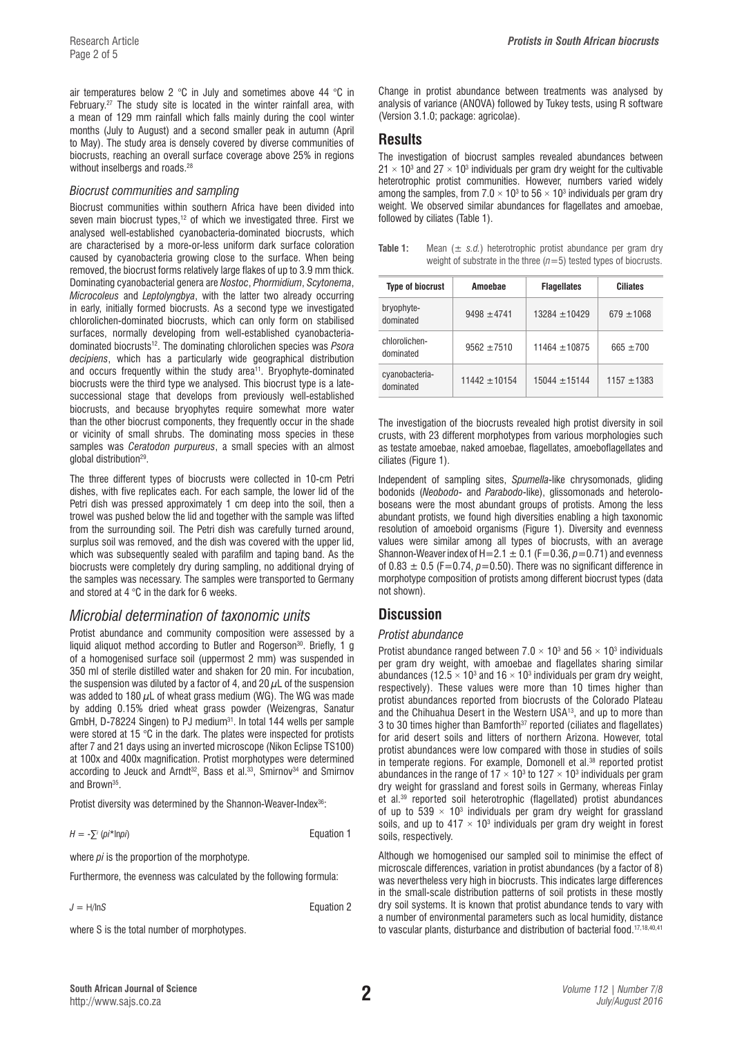air temperatures below 2 °C in July and sometimes above 44 °C in February.<sup>27</sup> The study site is located in the winter rainfall area, with a mean of 129 mm rainfall which falls mainly during the cool winter months (July to August) and a second smaller peak in autumn (April to May). The study area is densely covered by diverse communities of biocrusts, reaching an overall surface coverage above 25% in regions without inselbergs and roads.<sup>28</sup>

#### *Biocrust communities and sampling*

Biocrust communities within southern Africa have been divided into seven main biocrust types,<sup>12</sup> of which we investigated three. First we analysed well-established cyanobacteria-dominated biocrusts, which are characterised by a more-or-less uniform dark surface coloration caused by cyanobacteria growing close to the surface. When being removed, the biocrust forms relatively large flakes of up to 3.9 mm thick. Dominating cyanobacterial genera are *Nostoc*, *Phormidium*, *Scytonema*, *Microcoleus* and *Leptolyngbya*, with the latter two already occurring in early, initially formed biocrusts. As a second type we investigated chlorolichen-dominated biocrusts, which can only form on stabilised surfaces, normally developing from well-established cyanobacteriadominated biocrusts12. The dominating chlorolichen species was *Psora decipiens*, which has a particularly wide geographical distribution and occurs frequently within the study area<sup>11</sup>. Bryophyte-dominated biocrusts were the third type we analysed. This biocrust type is a latesuccessional stage that develops from previously well-established biocrusts, and because bryophytes require somewhat more water than the other biocrust components, they frequently occur in the shade or vicinity of small shrubs. The dominating moss species in these samples was *Ceratodon purpureus*, a small species with an almost global distribution29.

The three different types of biocrusts were collected in 10-cm Petri dishes, with five replicates each. For each sample, the lower lid of the Petri dish was pressed approximately 1 cm deep into the soil, then a trowel was pushed below the lid and together with the sample was lifted from the surrounding soil. The Petri dish was carefully turned around, surplus soil was removed, and the dish was covered with the upper lid, which was subsequently sealed with parafilm and taping band. As the biocrusts were completely dry during sampling, no additional drying of the samples was necessary. The samples were transported to Germany and stored at 4 °C in the dark for 6 weeks.

# *Microbial determination of taxonomic units*

Protist abundance and community composition were assessed by a liquid aliquot method according to Butler and Rogerson<sup>30</sup>. Briefly, 1 g of a homogenised surface soil (uppermost 2 mm) was suspended in 350 ml of sterile distilled water and shaken for 20 min. For incubation, the suspension was diluted by a factor of 4, and 20  $\mu$ L of the suspension was added to 180  $\mu$ L of wheat grass medium (WG). The WG was made by adding 0.15% dried wheat grass powder (Weizengras, Sanatur GmbH, D-78224 Singen) to PJ medium<sup>31</sup>. In total 144 wells per sample were stored at 15 °C in the dark. The plates were inspected for protists after 7 and 21 days using an inverted microscope (Nikon Eclipse TS100) at 100x and 400x magnification. Protist morphotypes were determined according to Jeuck and Arndt<sup>32</sup>, Bass et al.<sup>33</sup>, Smirnov<sup>34</sup> and Smirnov and Brown35.

Protist diversity was determined by the Shannon-Weaver-Index<sup>36</sup>:

 $H = -\sum^{i} (pi^* \ln \pi i)$ 

**F**quation 1

where *pi* is the proportion of the morphotype.

Furthermore, the evenness was calculated by the following formula:

*J* = H/ln*S* Equation 2

where S is the total number of morphotypes.

Change in protist abundance between treatments was analysed by analysis of variance (ANOVA) followed by Tukey tests, using R software (Version 3.1.0; package: agricolae).

# **Results**

The investigation of biocrust samples revealed abundances between  $21 \times 10^3$  and 27  $\times$  10<sup>3</sup> individuals per gram dry weight for the cultivable heterotrophic protist communities. However, numbers varied widely among the samples, from 7.0  $\times$  10<sup>3</sup> to 56  $\times$  10<sup>3</sup> individuals per gram dry weight. We observed similar abundances for flagellates and amoebae, followed by ciliates (Table 1).

**Table 1:** Mean  $(\pm s.d.)$  heterotrophic protist abundance per gram dry weight of substrate in the three  $(n=5)$  tested types of biocrusts.

| <b>Type of biocrust</b>     | Amoebae         | <b>Flagellates</b> | <b>Ciliates</b> |
|-----------------------------|-----------------|--------------------|-----------------|
| bryophyte-<br>dominated     | $9498 + 4741$   | $13284 + 10429$    | $679 + 1068$    |
| chlorolichen-<br>dominated  | $9562 + 7510$   | $11464 + 10875$    | $665 + 700$     |
| cyanobacteria-<br>dominated | $11442 + 10154$ | $15044 + 15144$    | $1157 + 1383$   |

The investigation of the biocrusts revealed high protist diversity in soil crusts, with 23 different morphotypes from various morphologies such as testate amoebae, naked amoebae, flagellates, amoeboflagellates and ciliates (Figure 1).

Independent of sampling sites, *Spumella*-like chrysomonads, gliding bodonids (*Neobodo*- and *Parabodo*-like), glissomonads and heteroloboseans were the most abundant groups of protists. Among the less abundant protists, we found high diversities enabling a high taxonomic resolution of amoeboid organisms (Figure 1). Diversity and evenness values were similar among all types of biocrusts, with an average Shannon-Weaver index of H=2.1  $\pm$  0.1 (F=0.36,  $p$ =0.71) and evenness of  $0.83 \pm 0.5$  (F=0.74,  $p=0.50$ ). There was no significant difference in morphotype composition of protists among different biocrust types (data not shown).

# **Discussion**

### *Protist abundance*

Protist abundance ranged between 7.0  $\times$  10<sup>3</sup> and 56  $\times$  10<sup>3</sup> individuals per gram dry weight, with amoebae and flagellates sharing similar abundances (12.5  $\times$  10<sup>3</sup> and 16  $\times$  10<sup>3</sup> individuals per gram dry weight, respectively). These values were more than 10 times higher than protist abundances reported from biocrusts of the Colorado Plateau and the Chihuahua Desert in the Western USA13, and up to more than 3 to 30 times higher than Bamforth<sup>37</sup> reported (ciliates and flagellates) for arid desert soils and litters of northern Arizona. However, total protist abundances were low compared with those in studies of soils in temperate regions. For example, Domonell et al.<sup>38</sup> reported protist abundances in the range of  $17 \times 10^3$  to  $127 \times 10^3$  individuals per gram dry weight for grassland and forest soils in Germany, whereas Finlay et al.<sup>39</sup> reported soil heterotrophic (flagellated) protist abundances of up to 539  $\times$  10<sup>3</sup> individuals per gram dry weight for grassland soils, and up to  $417 \times 10^3$  individuals per gram dry weight in forest soils, respectively.

Although we homogenised our sampled soil to minimise the effect of microscale differences, variation in protist abundances (by a factor of 8) was nevertheless very high in biocrusts. This indicates large differences in the small-scale distribution patterns of soil protists in these mostly dry soil systems. It is known that protist abundance tends to vary with a number of environmental parameters such as local humidity, distance to vascular plants, disturbance and distribution of bacterial food.17,18,40,41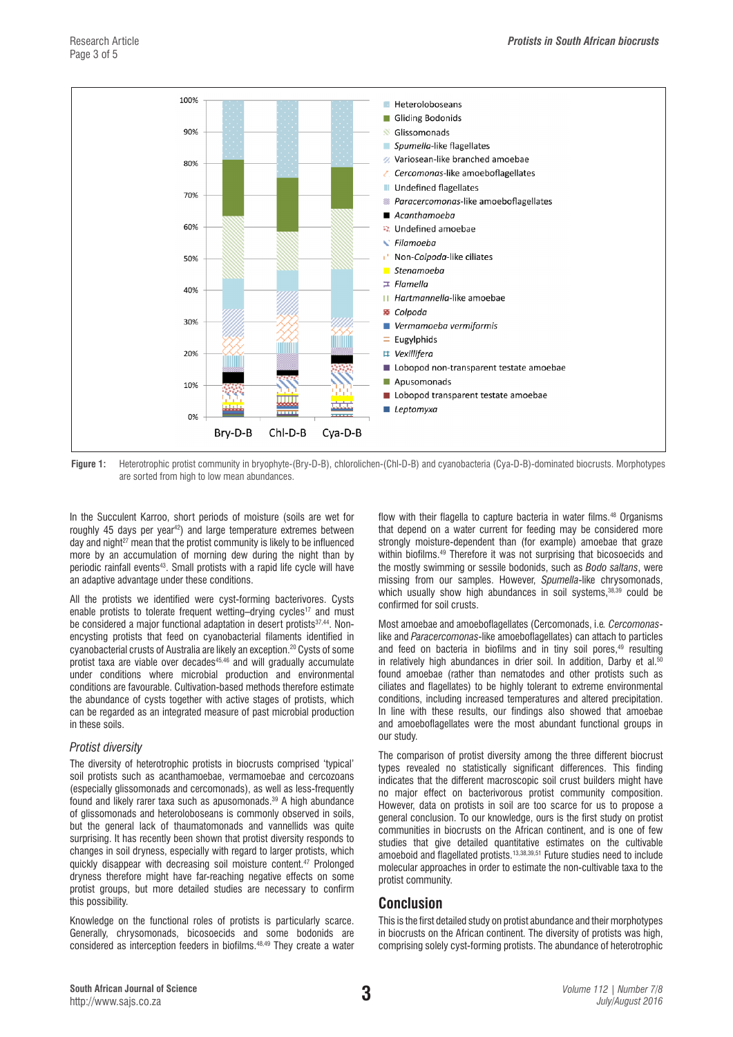

**Figure 1:** Heterotrophic protist community in bryophyte-(Bry-D-B), chlorolichen-(Chl-D-B) and cyanobacteria (Cya-D-B)-dominated biocrusts. Morphotypes are sorted from high to low mean abundances.

In the Succulent Karroo, short periods of moisture (soils are wet for roughly 45 days per year<sup>42</sup>) and large temperature extremes between day and night<sup>27</sup> mean that the protist community is likely to be influenced more by an accumulation of morning dew during the night than by periodic rainfall events<sup>43</sup>. Small protists with a rapid life cycle will have an adaptive advantage under these conditions.

All the protists we identified were cyst-forming bacterivores. Cysts enable protists to tolerate frequent wetting–drying cycles<sup>17</sup> and must be considered a major functional adaptation in desert protists<sup>37,44</sup>. Nonencysting protists that feed on cyanobacterial filaments identified in cyanobacterial crusts of Australia are likely an exception.20 Cysts of some protist taxa are viable over decades<sup>45,46</sup> and will gradually accumulate under conditions where microbial production and environmental conditions are favourable. Cultivation-based methods therefore estimate the abundance of cysts together with active stages of protists, which can be regarded as an integrated measure of past microbial production in these soils.

### *Protist diversity*

The diversity of heterotrophic protists in biocrusts comprised 'typical' soil protists such as acanthamoebae, vermamoebae and cercozoans (especially glissomonads and cercomonads), as well as less-frequently found and likely rarer taxa such as apusomonads.39 A high abundance of glissomonads and heteroloboseans is commonly observed in soils, but the general lack of thaumatomonads and vannellids was quite surprising. It has recently been shown that protist diversity responds to changes in soil dryness, especially with regard to larger protists, which quickly disappear with decreasing soil moisture content.47 Prolonged dryness therefore might have far-reaching negative effects on some protist groups, but more detailed studies are necessary to confirm this possibility.

Knowledge on the functional roles of protists is particularly scarce. Generally, chrysomonads, bicosoecids and some bodonids are considered as interception feeders in biofilms.48,49 They create a water

flow with their flagella to capture bacteria in water films.<sup>48</sup> Organisms that depend on a water current for feeding may be considered more strongly moisture-dependent than (for example) amoebae that graze within biofilms.<sup>49</sup> Therefore it was not surprising that bicosoecids and the mostly swimming or sessile bodonids, such as *Bodo saltans*, were missing from our samples. However, *Spumella*-like chrysomonads, which usually show high abundances in soil systems.<sup>38,39</sup> could be confirmed for soil crusts.

Most amoebae and amoeboflagellates (Cercomonads, i.e*. Cercomonas*like and *Paracercomonas*-like amoeboflagellates) can attach to particles and feed on bacteria in biofilms and in tiny soil pores,<sup>49</sup> resulting in relatively high abundances in drier soil. In addition, Darby et al.<sup>50</sup> found amoebae (rather than nematodes and other protists such as ciliates and flagellates) to be highly tolerant to extreme environmental conditions, including increased temperatures and altered precipitation. In line with these results, our findings also showed that amoebae and amoeboflagellates were the most abundant functional groups in our study.

The comparison of protist diversity among the three different biocrust types revealed no statistically significant differences. This finding indicates that the different macroscopic soil crust builders might have no major effect on bacterivorous protist community composition. However, data on protists in soil are too scarce for us to propose a general conclusion. To our knowledge, ours is the first study on protist communities in biocrusts on the African continent, and is one of few studies that give detailed quantitative estimates on the cultivable amoeboid and flagellated protists.13,38,39,51 Future studies need to include molecular approaches in order to estimate the non-cultivable taxa to the protist community.

# **Conclusion**

This is the first detailed study on protist abundance and their morphotypes in biocrusts on the African continent. The diversity of protists was high, comprising solely cyst-forming protists. The abundance of heterotrophic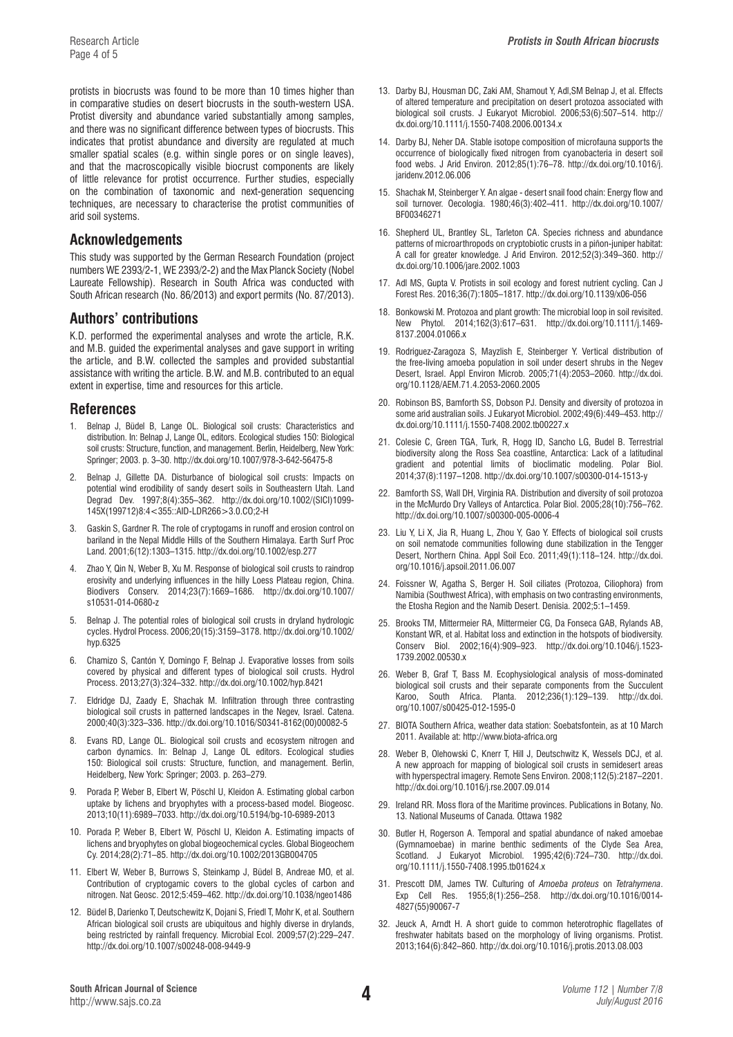protists in biocrusts was found to be more than 10 times higher than in comparative studies on desert biocrusts in the south-western USA. Protist diversity and abundance varied substantially among samples, and there was no significant difference between types of biocrusts. This indicates that protist abundance and diversity are regulated at much smaller spatial scales (e.g. within single pores or on single leaves), and that the macroscopically visible biocrust components are likely of little relevance for protist occurrence. Further studies, especially on the combination of taxonomic and next-generation sequencing techniques, are necessary to characterise the protist communities of arid soil systems.

# **Acknowledgements**

This study was supported by the German Research Foundation (project numbers WE 2393/2-1, WE 2393/2-2) and the Max Planck Society (Nobel Laureate Fellowship). Research in South Africa was conducted with South African research (No. 86/2013) and export permits (No. 87/2013).

# **Authors' contributions**

K.D. performed the experimental analyses and wrote the article, R.K. and M.B. guided the experimental analyses and gave support in writing the article, and B.W. collected the samples and provided substantial assistance with writing the article. B.W. and M.B. contributed to an equal extent in expertise, time and resources for this article.

# **References**

- 1. Belnap J, Büdel B, Lange OL. Biological soil crusts: Characteristics and distribution. In: Belnap J, Lange OL, editors. Ecological studies 150: Biological soil crusts: Structure, function, and management. Berlin, Heidelberg, New York: Springer; 2003. p. 3–30.<http://dx.doi.org/10.1007/978-3-642-56475-8>
- 2. Belnap J, Gillette DA. Disturbance of biological soil crusts: Impacts on potential wind erodibility of sandy desert soils in Southeastern Utah. Land Degrad Dev. 1997;8(4):355–362. [http://dx.doi.org/10.1002/\(SICI\)1099-](http://dx.doi.org/10.1002/(SICI)1099-145X(199712)8:4<355::AID-LDR266>3.0.CO;2-H
) [145X\(199712\)8:4<355::AID-LDR266>3.0.CO;2-H](http://dx.doi.org/10.1002/(SICI)1099-145X(199712)8:4<355::AID-LDR266>3.0.CO;2-H
)
- 3. Gaskin S, Gardner R. The role of cryptogams in runoff and erosion control on bariland in the Nepal Middle Hills of the Southern Himalaya. Earth Surf Proc Land. 2001;6(12):1303–1315. <http://dx.doi.org/10.1002/esp.277>
- 4. Zhao Y, Qin N, Weber B, Xu M. Response of biological soil crusts to raindrop erosivity and underlying influences in the hilly Loess Plateau region, China. Biodivers Conserv. 2014;23(7):1669–1686. [http://dx.doi.org/10.1007/](http://dx.doi.org/10.1007/s10531-014-0680-z
) [s10531-014-0680-z](http://dx.doi.org/10.1007/s10531-014-0680-z
)
- 5. Belnap J. The potential roles of biological soil crusts in dryland hydrologic cycles. Hydrol Process. 2006;20(15):3159–3178. [http://dx.doi.org/10.1002/](http://dx.doi.org/10.1002/hyp.6325) [hyp.6325](http://dx.doi.org/10.1002/hyp.6325)
- 6. Chamizo S, Cantón Y, Domingo F, Belnap J. Evaporative losses from soils covered by physical and different types of biological soil crusts. Hydrol Process. 2013;27(3):324–332.<http://dx.doi.org/10.1002/hyp.8421>
- 7. Eldridge DJ, Zaady E, Shachak M. Infiltration through three contrasting biological soil crusts in patterned landscapes in the Negev, Israel. Catena. 2000;40(3):323–336. [http://dx.doi.org/10.1016/S0341-8162\(00\)00082-5](http://dx.doi.org/10.1016/S0341-8162(00)00082-5
)
- 8. Evans RD, Lange OL. Biological soil crusts and ecosystem nitrogen and carbon dynamics. In: Belnap J, Lange OL editors. Ecological studies 150: Biological soil crusts: Structure, function, and management. Berlin, Heidelberg, New York: Springer; 2003. p. 263–279.
- 9. Porada P, Weber B, Elbert W, Pöschl U, Kleidon A. Estimating global carbon uptake by lichens and bryophytes with a process-based model. Biogeosc. 2013;10(11):6989–7033. [http://dx.doi.org/10.5194/bg-10-6989-2013](http://dx.doi.org/10.5194/bg-10-6989-2013
)
- 10. Porada P, Weber B, Elbert W, Pöschl U, Kleidon A. Estimating impacts of lichens and bryophytes on global biogeochemical cycles. Global Biogeochem Cy. 2014;28(2):71–85. <http://dx.doi.org/10.1002/2013GB004705>
- 11. Elbert W, Weber B, Burrows S, Steinkamp J, Büdel B, Andreae MO, et al. Contribution of cryptogamic covers to the global cycles of carbon and nitrogen. Nat Geosc. 2012;5:459–462.<http://dx.doi.org/10.1038/ngeo1486>
- 12. Büdel B, Darienko T, Deutschewitz K, Dojani S, Friedl T, Mohr K, et al. Southern African biological soil crusts are ubiquitous and highly diverse in drylands, being restricted by rainfall frequency. Microbial Ecol. 2009;57(2):229–247. [http://dx.doi.org/10.1007/s00248-008-9449-9](http://dx.doi.org/10.1007/s00248-008-9449-9
)
- 13. Darby BJ, Housman DC, Zaki AM, Shamout Y, Adl,SM Belnap J, et al. Effects of altered temperature and precipitation on desert protozoa associated with biological soil crusts. J Eukaryot Microbiol. 2006;53(6):507–514. [http://](http://dx.doi.org/10.1111/j.1550-7408.2006.00134.x
) [dx.doi.org/10.1111/j.1550-7408.2006.00134.x](http://dx.doi.org/10.1111/j.1550-7408.2006.00134.x
)
- 14. Darby BJ, Neher DA. Stable isotope composition of microfauna supports the occurrence of biologically fixed nitrogen from cyanobacteria in desert soil food webs. J Arid Environ. 2012;85(1):76–78. [http://dx.doi.org/10.1016/j.](http://dx.doi.org/10.1016/j.jaridenv.2012.06.006) [jaridenv.2012.06.006](http://dx.doi.org/10.1016/j.jaridenv.2012.06.006)
- 15. Shachak M, Steinberger Y. An algae desert snail food chain: Energy flow and soil turnover. Oecologia. 1980;46(3):402–411. [http://dx.doi.org/10.1007/](http://dx.doi.org/10.1007/BF00346271) [BF00346271](http://dx.doi.org/10.1007/BF00346271)
- 16. Shepherd UL, Brantley SL, Tarleton CA. Species richness and abundance patterns of microarthropods on cryptobiotic crusts in a piñon-juniper habitat: A call for greater knowledge. J Arid Environ. 2012;52(3):349–360. [http://](http://dx.doi.org/10.1006/jare.2002.1003) [dx.doi.org/10.1006/jare.2002.1003](http://dx.doi.org/10.1006/jare.2002.1003)
- 17. Adl MS, Gupta V. Protists in soil ecology and forest nutrient cycling. Can J Forest Res. 2016;36(7):1805–1817. [http://dx.doi.org/10.1139/x06-056](http://dx.doi.org/10.1139/x06-056
)
- 18. Bonkowski M. Protozoa and plant growth: The microbial loop in soil revisited. New Phytol. 2014;162(3):617–631. [http://dx.doi.org/10.1111/j.1469-](http://dx.doi.org/10.1111/j.1469-8137.2004.01066.x
) [8137.2004.01066.x](http://dx.doi.org/10.1111/j.1469-8137.2004.01066.x
)
- 19. Rodriguez-Zaragoza S, Mayzlish E, Steinberger Y. Vertical distribution of the free-living amoeba population in soil under desert shrubs in the Negev Desert, Israel. Appl Environ Microb. 2005;71(4):2053–2060. [http://dx.doi.](http://dx.doi.org/10.1128/AEM.71.4.2053-2060.2005) [org/10.1128/AEM.71.4.2053-2060.2005](http://dx.doi.org/10.1128/AEM.71.4.2053-2060.2005)
- 20. Robinson BS, Bamforth SS, Dobson PJ. Density and diversity of protozoa in some arid australian soils. J Eukaryot Microbiol. 2002;49(6):449–453. [http://](http://dx.doi.org/10.1111/j.1550-7408.2002.tb00227.x
) [dx.doi.org/10.1111/j.1550-7408.2002.tb00227.x](http://dx.doi.org/10.1111/j.1550-7408.2002.tb00227.x
)
- 21. Colesie C, Green TGA, Turk, R, Hogg ID, Sancho LG, Budel B. Terrestrial biodiversity along the Ross Sea coastline, Antarctica: Lack of a latitudinal gradient and potential limits of bioclimatic modeling. Polar Biol. 2014;37(8):1197–1208. [http://dx.doi.org/10.1007/s00300-014-1513-y](http://dx.doi.org/10.1007/s00300-014-1513-y
)
- 22. Bamforth SS, Wall DH, Virginia RA. Distribution and diversity of soil protozoa in the McMurdo Dry Valleys of Antarctica. Polar Biol. 2005;28(10):756–762. [http://dx.doi.org/10.1007/s00300-005-0006-4](http://dx.doi.org/10.1007/s00300-005-0006-4
)
- 23. Liu Y, Li X, Jia R, Huang L, Zhou Y, Gao Y. Effects of biological soil crusts on soil nematode communities following dune stabilization in the Tengger Desert, Northern China. Appl Soil Eco. 2011;49(1):118–124. [http://dx.doi.](http://dx.doi.org/10.1016/j.apsoil.2011.06.007) [org/10.1016/j.apsoil.2011.06.007](http://dx.doi.org/10.1016/j.apsoil.2011.06.007)
- 24. Foissner W, Agatha S, Berger H. Soil ciliates (Protozoa, Ciliophora) from Namibia (Southwest Africa), with emphasis on two contrasting environments, the Etosha Region and the Namib Desert. Denisia. 2002;5:1–1459.
- 25. Brooks TM, Mittermeier RA, Mittermeier CG, Da Fonseca GAB, Rylands AB, Konstant WR, et al. Habitat loss and extinction in the hotspots of biodiversity. Conserv Biol. 2002;16(4):909–923. [http://dx.doi.org/10.1046/j.1523-](http://dx.doi.org/10.1046/j.1523-1739.2002.00530.x
) [1739.2002.00530.x](http://dx.doi.org/10.1046/j.1523-1739.2002.00530.x
)
- 26. Weber B, Graf T, Bass M. Ecophysiological analysis of moss-dominated biological soil crusts and their separate components from the Succulent Karoo, South Africa. Planta. 2012;236(1):129–139. [http://dx.doi.](http://dx.doi.org/10.1007/s00425-012-1595-0
) [org/10.1007/s00425-012-1595-0](http://dx.doi.org/10.1007/s00425-012-1595-0
)
- 27. BIOTA Southern Africa, weather data station: Soebatsfontein, as at 10 March 2011. Available at:<http://www.biota-africa.org>
- 28. Weber B, Olehowski C, Knerr T, Hill J, Deutschwitz K, Wessels DCJ, et al. A new approach for mapping of biological soil crusts in semidesert areas with hyperspectral imagery. Remote Sens Environ. 2008;112(5):2187–2201. <http://dx.doi.org/10.1016/j.rse.2007.09.014>
- 29. Ireland RR. Moss flora of the Maritime provinces. Publications in Botany, No. 13. National Museums of Canada. Ottawa 1982
- 30. Butler H, Rogerson A. Temporal and spatial abundance of naked amoebae (Gymnamoebae) in marine benthic sediments of the Clyde Sea Area, Scotland. J Eukaryot Microbiol. 1995;42(6):724–730. [http://dx.doi.](http://dx.doi.org/10.1111/j.1550-7408.1995.tb01624.x
) [org/10.1111/j.1550-7408.1995.tb01624.x](http://dx.doi.org/10.1111/j.1550-7408.1995.tb01624.x
)
- 31. Prescott DM, James TW. Culturing of *Amoeba proteus* on *Tetrahymena*. Exp Cell Res. 1955;8(1):256–258. [http://dx.doi.org/10.1016/0014-](http://dx.doi.org/10.1016/0014-4827(55)90067-7
) [4827\(55\)90067-7](http://dx.doi.org/10.1016/0014-4827(55)90067-7
)
- 32. Jeuck A, Arndt H. A short guide to common heterotrophic flagellates of freshwater habitats based on the morphology of living organisms. Protist. 2013;164(6):842–860. <http://dx.doi.org/10.1016/j.protis.2013.08.003>